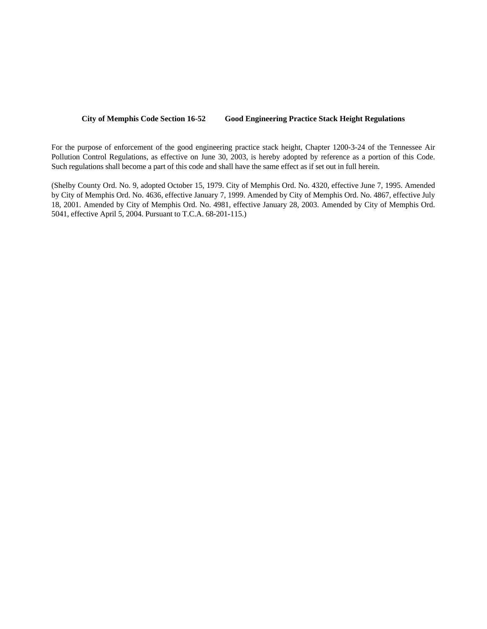#### **City of Memphis Code Section 16-52 Good Engineering Practice Stack Height Regulations**

For the purpose of enforcement of the good engineering practice stack height, Chapter 1200-3-24 of the Tennessee Air Pollution Control Regulations, as effective on June 30, 2003, is hereby adopted by reference as a portion of this Code. Such regulations shall become a part of this code and shall have the same effect as if set out in full herein.

(Shelby County Ord. No. 9, adopted October 15, 1979. City of Memphis Ord. No. 4320, effective June 7, 1995. Amended by City of Memphis Ord. No. 4636, effective January 7, 1999. Amended by City of Memphis Ord. No. 4867, effective July 18, 2001. Amended by City of Memphis Ord. No. 4981, effective January 28, 2003. Amended by City of Memphis Ord. 5041, effective April 5, 2004. Pursuant to T.C.A. 68-201-115.)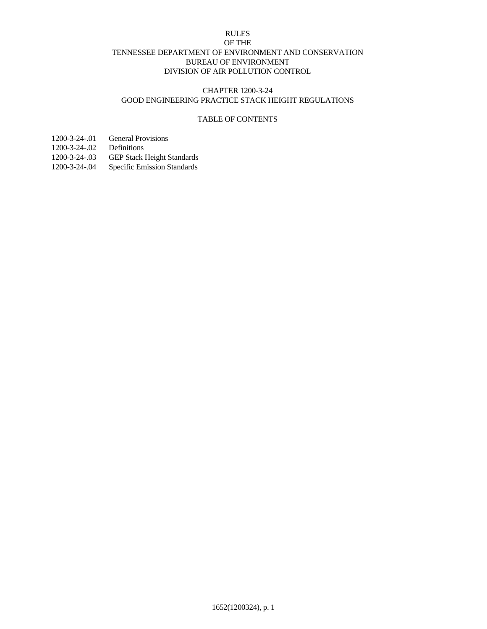## RULES OF THE TENNESSEE DEPARTMENT OF ENVIRONMENT AND CONSERVATION BUREAU OF ENVIRONMENT DIVISION OF AIR POLLUTION CONTROL

### CHAPTER 1200-3-24 GOOD ENGINEERING PRACTICE STACK HEIGHT REGULATIONS

#### TABLE OF CONTENTS

- 1200-3-24-.02 Definitions
- 1200-3-24-.03 GEP Stack Height Standards
- 1200-3-24-.04 Specific Emission Standards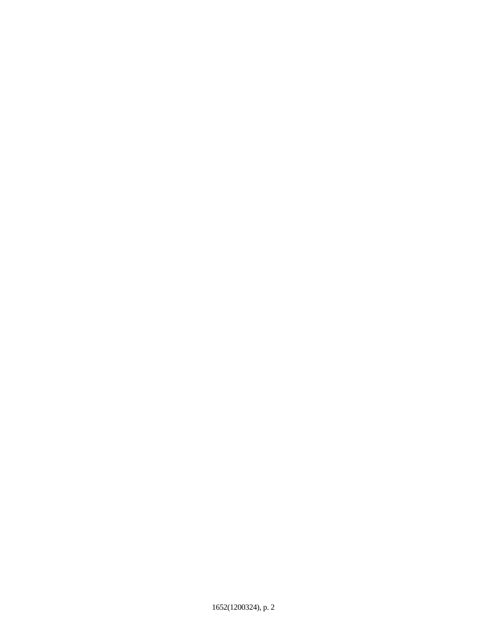1652(1200324), p. 2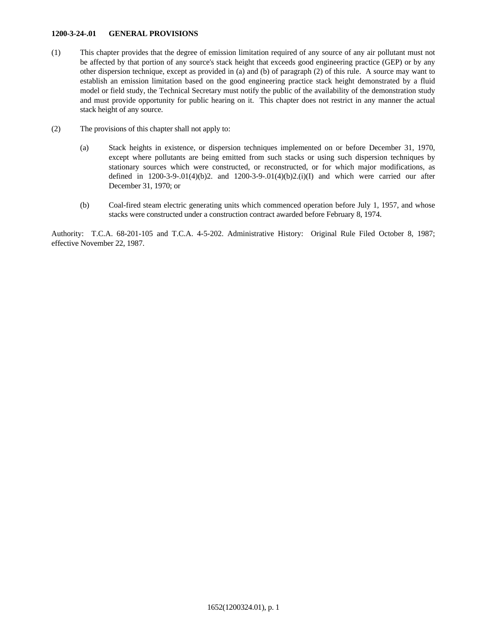#### **1200-3-24-.01 GENERAL PROVISIONS**

- (1) This chapter provides that the degree of emission limitation required of any source of any air pollutant must not be affected by that portion of any source's stack height that exceeds good engineering practice (GEP) or by any other dispersion technique, except as provided in (a) and (b) of paragraph (2) of this rule. A source may want to establish an emission limitation based on the good engineering practice stack height demonstrated by a fluid model or field study, the Technical Secretary must notify the public of the availability of the demonstration study and must provide opportunity for public hearing on it. This chapter does not restrict in any manner the actual stack height of any source.
- (2) The provisions of this chapter shall not apply to:
	- (a) Stack heights in existence, or dispersion techniques implemented on or before December 31, 1970, except where pollutants are being emitted from such stacks or using such dispersion techniques by stationary sources which were constructed, or reconstructed, or for which major modifications, as defined in 1200-3-9-.01(4)(b)2. and 1200-3-9-.01(4)(b)2.(i)(I) and which were carried our after December 31, 1970; or
	- (b) Coal-fired steam electric generating units which commenced operation before July 1, 1957, and whose stacks were constructed under a construction contract awarded before February 8, 1974.

Authority: T.C.A. 68-201-105 and T.C.A. 4-5-202. Administrative History: Original Rule Filed October 8, 1987; effective November 22, 1987.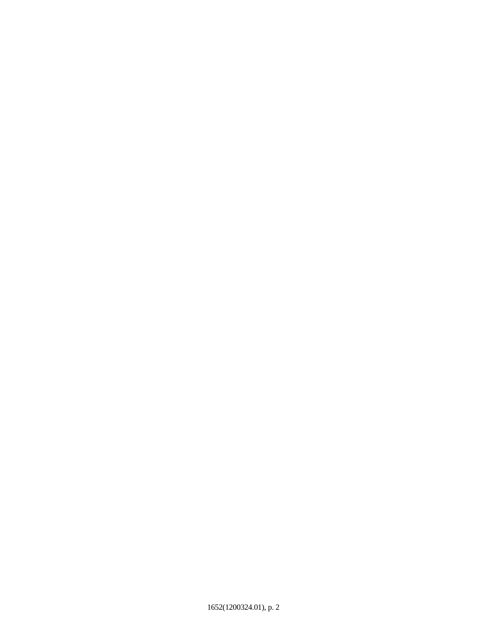1652(1200324.01), p. 2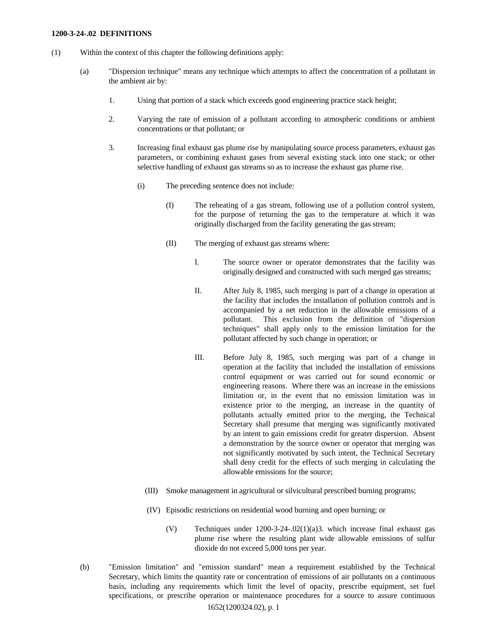#### **1200-3-24-.02 DEFINITIONS**

- (1) Within the context of this chapter the following definitions apply:
	- (a) "Dispersion technique" means any technique which attempts to affect the concentration of a pollutant in the ambient air by:
		- 1. Using that portion of a stack which exceeds good engineering practice stack height;
		- 2. Varying the rate of emission of a pollutant according to atmospheric conditions or ambient concentrations or that pollutant; or
		- 3. Increasing final exhaust gas plume rise by manipulating source process parameters, exhaust gas parameters, or combining exhaust gases from several existing stack into one stack; or other selective handling of exhaust gas streams so as to increase the exhaust gas plume rise.
			- (i) The preceding sentence does not include:
				- (I) The reheating of a gas stream, following use of a pollution control system, for the purpose of returning the gas to the temperature at which it was originally discharged from the facility generating the gas stream;
				- (II) The merging of exhaust gas streams where:
					- I. The source owner or operator demonstrates that the facility was originally designed and constructed with such merged gas streams;
					- II. After July 8, 1985, such merging is part of a change in operation at the facility that includes the installation of pollution controls and is accompanied by a net reduction in the allowable emissions of a pollutant. This exclusion from the definition of "dispersion techniques" shall apply only to the emission limitation for the pollutant affected by such change in operation; or
					- III. Before July 8, 1985, such merging was part of a change in operation at the facility that included the installation of emissions control equipment or was carried out for sound economic or engineering reasons. Where there was an increase in the emissions limitation or, in the event that no emission limitation was in existence prior to the merging, an increase in the quantity of pollutants actually emitted prior to the merging, the Technical Secretary shall presume that merging was significantly motivated by an intent to gain emissions credit for greater dispersion. Absent a demonstration by the source owner or operator that merging was not significantly motivated by such intent, the Technical Secretary shall deny credit for the effects of such merging in calculating the allowable emissions for the source;
				- (III) Smoke management in agricultural or silvicultural prescribed burning programs;
				- (IV) Episodic restrictions on residential wood burning and open burning; or
					- (V) Techniques under 1200-3-24-.02(1)(a)3. which increase final exhaust gas plume rise where the resulting plant wide allowable emissions of sulfur dioxide do not exceed 5,000 tons per year.
	- 1652(1200324.02), p. 1 (b) "Emission limitation" and "emission standard" mean a requirement established by the Technical Secretary, which limits the quantity rate or concentration of emissions of air pollutants on a continuous basis, including any requirements which limit the level of opacity, prescribe equipment, set fuel specifications, or prescribe operation or maintenance procedures for a source to assure continuous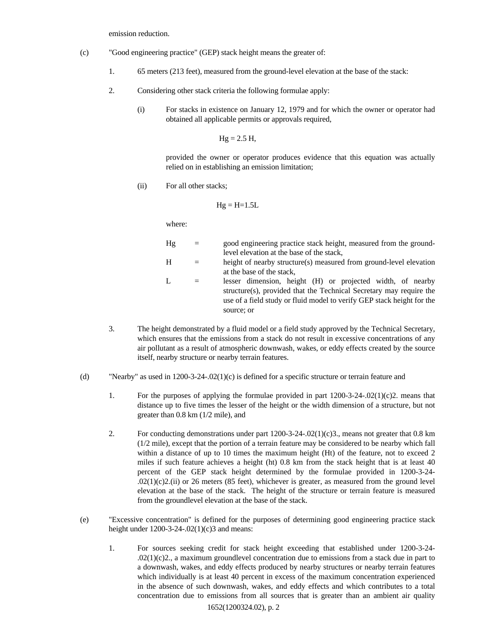emission reduction.

- (c) "Good engineering practice" (GEP) stack height means the greater of:
	- 1. 65 meters (213 feet), measured from the ground-level elevation at the base of the stack:
	- 2. Considering other stack criteria the following formulae apply:
		- (i) For stacks in existence on January 12, 1979 and for which the owner or operator had obtained all applicable permits or approvals required,

 $Hg = 2.5 H$ ,

provided the owner or operator produces evidence that this equation was actually relied on in establishing an emission limitation;

(ii) For all other stacks;

$$
Hg = H=1.5L
$$

where:

- Hg = good engineering practice stack height, measured from the groundlevel elevation at the base of the stack,
- $H =$  height of nearby structure(s) measured from ground-level elevation at the base of the stack,
- L = lesser dimension, height (H) or projected width, of nearby structure(s), provided that the Technical Secretary may require the use of a field study or fluid model to verify GEP stack height for the source; or
- 3. The height demonstrated by a fluid model or a field study approved by the Technical Secretary, which ensures that the emissions from a stack do not result in excessive concentrations of any air pollutant as a result of atmospheric downwash, wakes, or eddy effects created by the source itself, nearby structure or nearby terrain features.
- (d) "Nearby" as used in 1200-3-24-.02(1)(c) is defined for a specific structure or terrain feature and
	- 1. For the purposes of applying the formulae provided in part  $1200-3-24-02(1)(c)2$ . means that distance up to five times the lesser of the height or the width dimension of a structure, but not greater than 0.8 km (1/2 mile), and
	- 2. For conducting demonstrations under part 1200-3-24-.02(1)(c)3., means not greater that 0.8 km (1/2 mile), except that the portion of a terrain feature may be considered to be nearby which fall within a distance of up to 10 times the maximum height (Ht) of the feature, not to exceed 2 miles if such feature achieves a height (ht) 0.8 km from the stack height that is at least 40 percent of the GEP stack height determined by the formulae provided in 1200-3-24-  $.02(1)(c)2$ .(ii) or 26 meters (85 feet), whichever is greater, as measured from the ground level elevation at the base of the stack. The height of the structure or terrain feature is measured from the groundlevel elevation at the base of the stack.
- (e) "Excessive concentration" is defined for the purposes of determining good engineering practice stack height under  $1200-3-24-.02(1)(c)3$  and means:
	- 1. For sources seeking credit for stack height exceeding that established under 1200-3-24-  $.02(1)(c)$ 2., a maximum groundlevel concentration due to emissions from a stack due in part to a downwash, wakes, and eddy effects produced by nearby structures or nearby terrain features which individually is at least 40 percent in excess of the maximum concentration experienced in the absence of such downwash, wakes, and eddy effects and which contributes to a total concentration due to emissions from all sources that is greater than an ambient air quality

1652(1200324.02), p. 2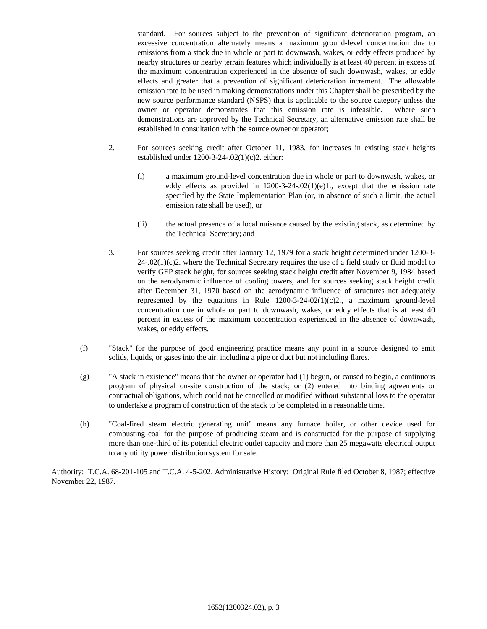standard. For sources subject to the prevention of significant deterioration program, an excessive concentration alternately means a maximum ground-level concentration due to emissions from a stack due in whole or part to downwash, wakes, or eddy effects produced by nearby structures or nearby terrain features which individually is at least 40 percent in excess of the maximum concentration experienced in the absence of such downwash, wakes, or eddy effects and greater that a prevention of significant deterioration increment. The allowable emission rate to be used in making demonstrations under this Chapter shall be prescribed by the new source performance standard (NSPS) that is applicable to the source category unless the owner or operator demonstrates that this emission rate is infeasible. Where such demonstrations are approved by the Technical Secretary, an alternative emission rate shall be established in consultation with the source owner or operator;

- 2. For sources seeking credit after October 11, 1983, for increases in existing stack heights established under 1200-3-24-.02(1)(c)2. either:
	- (i) a maximum ground-level concentration due in whole or part to downwash, wakes, or eddy effects as provided in  $1200-3-24-.02(1)(e)1$ ., except that the emission rate specified by the State Implementation Plan (or, in absence of such a limit, the actual emission rate shall be used), or
	- (ii) the actual presence of a local nuisance caused by the existing stack, as determined by the Technical Secretary; and
- 3. For sources seeking credit after January 12, 1979 for a stack height determined under 1200-3- 24-.02(1)(c)2. where the Technical Secretary requires the use of a field study or fluid model to verify GEP stack height, for sources seeking stack height credit after November 9, 1984 based on the aerodynamic influence of cooling towers, and for sources seeking stack height credit after December 31, 1970 based on the aerodynamic influence of structures not adequately represented by the equations in Rule  $1200-3-24-02(1)(c)2$ ., a maximum ground-level concentration due in whole or part to downwash, wakes, or eddy effects that is at least 40 percent in excess of the maximum concentration experienced in the absence of downwash, wakes, or eddy effects.
- (f) "Stack" for the purpose of good engineering practice means any point in a source designed to emit solids, liquids, or gases into the air, including a pipe or duct but not including flares.
- (g) "A stack in existence" means that the owner or operator had (1) begun, or caused to begin, a continuous program of physical on-site construction of the stack; or (2) entered into binding agreements or contractual obligations, which could not be cancelled or modified without substantial loss to the operator to undertake a program of construction of the stack to be completed in a reasonable time.
- (h) "Coal-fired steam electric generating unit" means any furnace boiler, or other device used for combusting coal for the purpose of producing steam and is constructed for the purpose of supplying more than one-third of its potential electric outlet capacity and more than 25 megawatts electrical output to any utility power distribution system for sale.

Authority: T.C.A. 68-201-105 and T.C.A. 4-5-202. Administrative History: Original Rule filed October 8, 1987; effective November 22, 1987.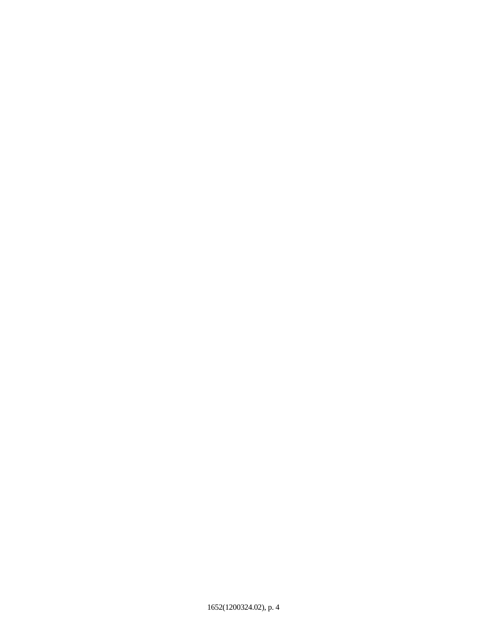1652(1200324.02), p. 4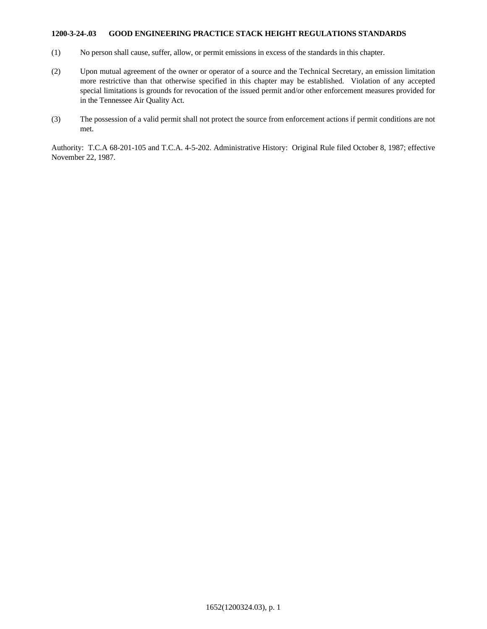#### **1200-3-24-.03 GOOD ENGINEERING PRACTICE STACK HEIGHT REGULATIONS STANDARDS**

- (1) No person shall cause, suffer, allow, or permit emissions in excess of the standards in this chapter.
- (2) Upon mutual agreement of the owner or operator of a source and the Technical Secretary, an emission limitation more restrictive than that otherwise specified in this chapter may be established. Violation of any accepted special limitations is grounds for revocation of the issued permit and/or other enforcement measures provided for in the Tennessee Air Quality Act.
- (3) The possession of a valid permit shall not protect the source from enforcement actions if permit conditions are not met.

Authority: T.C.A 68-201-105 and T.C.A. 4-5-202. Administrative History: Original Rule filed October 8, 1987; effective November 22, 1987.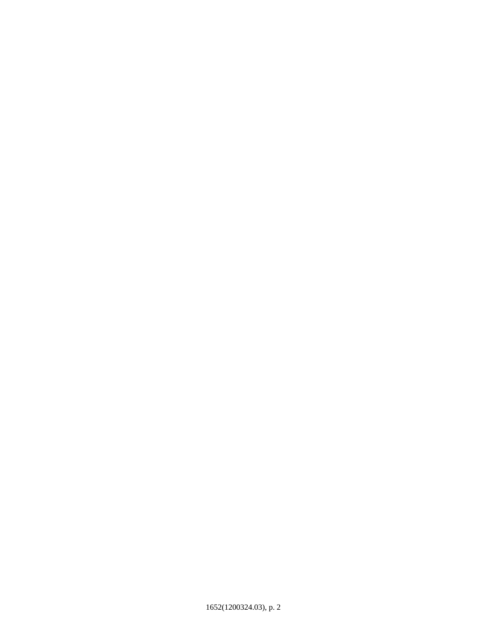# 1652(1200324.03), p. 2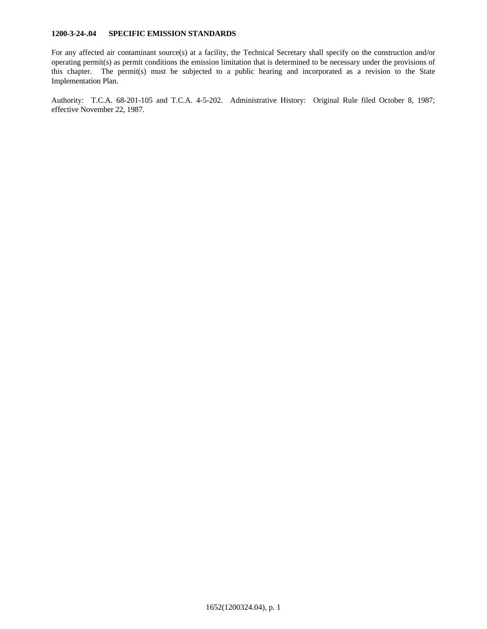#### **1200-3-24-.04 SPECIFIC EMISSION STANDARDS**

For any affected air contaminant source(s) at a facility, the Technical Secretary shall specify on the construction and/or operating permit(s) as permit conditions the emission limitation that is determined to be necessary under the provisions of this chapter. The permit(s) must be subjected to a public hearing and incorporated as a revision to the State Implementation Plan.

Authority: T.C.A. 68-201-105 and T.C.A. 4-5-202. Administrative History: Original Rule filed October 8, 1987; effective November 22, 1987.